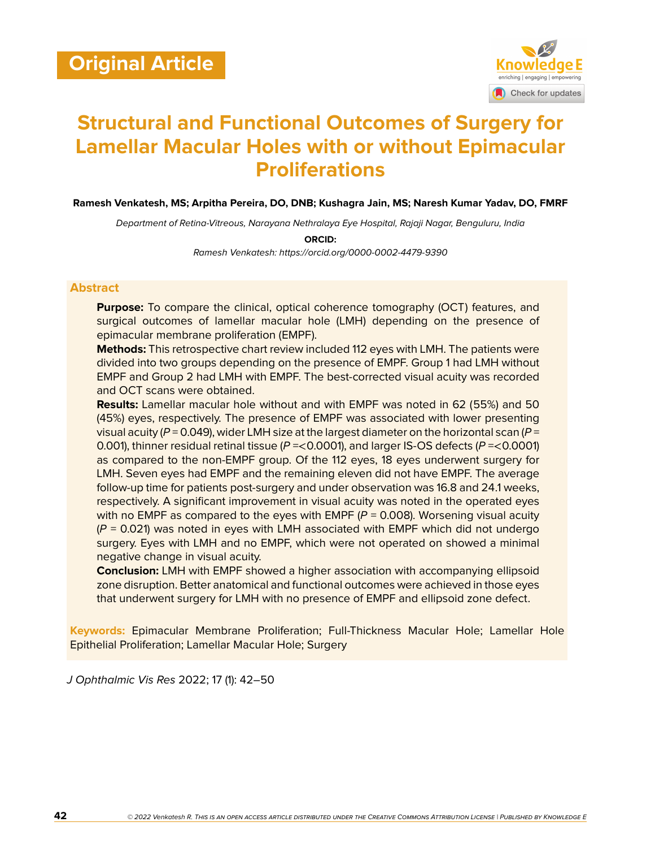

# **Structural and Functional Outcomes of Surgery for Lamellar Macular Holes with or without Epimacular Proliferations**

**Ramesh Venkatesh, MS; Arpitha Pereira, DO, DNB; Kushagra Jain, MS; Naresh Kumar Yadav, DO, FMRF**

*Department of Retina-Vitreous, Narayana Nethralaya Eye Hospital, Rajaji Nagar, Benguluru, India*

**ORCID:**

*Ramesh Venkatesh: https://orcid.org/0000-0002-4479-9390*

### **Abstract**

**Purpose:** To compare the clinical, optical coherence tomography (OCT) features, and surgical outcomes of lamellar macular hole (LMH) depending on the presence of epimacular membrane proliferation (EMPF).

**Methods:** This retrospective chart review included 112 eyes with LMH. The patients were divided into two groups depending on the presence of EMPF. Group 1 had LMH without EMPF and Group 2 had LMH with EMPF. The best-corrected visual acuity was recorded and OCT scans were obtained.

**Results:** Lamellar macular hole without and with EMPF was noted in 62 (55%) and 50 (45%) eyes, respectively. The presence of EMPF was associated with lower presenting visual acuity (*P* = 0.049), wider LMH size at the largest diameter on the horizontal scan (*P* = 0.001), thinner residual retinal tissue (*P* =<0.0001), and larger IS-OS defects (*P* =<0.0001) as compared to the non-EMPF group. Of the 112 eyes, 18 eyes underwent surgery for LMH. Seven eyes had EMPF and the remaining eleven did not have EMPF. The average follow-up time for patients post-surgery and under observation was 16.8 and 24.1 weeks, respectively. A significant improvement in visual acuity was noted in the operated eyes with no EMPF as compared to the eyes with EMPF  $(P = 0.008)$ . Worsening visual acuity (*P* = 0.021) was noted in eyes with LMH associated with EMPF which did not undergo surgery. Eyes with LMH and no EMPF, which were not operated on showed a minimal negative change in visual acuity.

**Conclusion:** LMH with EMPF showed a higher association with accompanying ellipsoid zone disruption. Better anatomical and functional outcomes were achieved in those eyes that underwent surgery for LMH with no presence of EMPF and ellipsoid zone defect.

**Keywords:** Epimacular Membrane Proliferation; Full-Thickness Macular Hole; Lamellar Hole Epithelial Proliferation; Lamellar Macular Hole; Surgery

*J Ophthalmic Vis Res* 2022; 17 (1): 42–50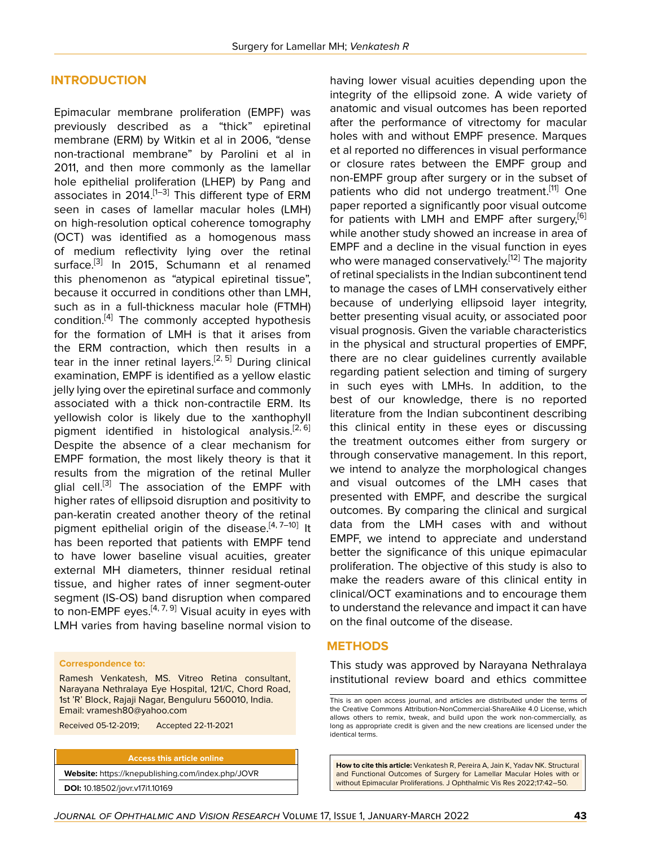### **INTRODUCTION**

Epimacular membrane proliferation (EMPF) was previously described as a "thick" epiretinal membrane (ERM) by Witkin et al in 2006, "dense non-tractional membrane" by Parolini et al in 2011, and then more commonly as the lamellar hole epithelial proliferation (LHEP) by Pang and associates in 20[1](#page-7-0)4.<sup>[1[–3](#page-8-0)]</sup> This different type of ERM seen in cases of lamellar macular holes (LMH) on high-resolution optical coherence tomography (OCT) was identified as a homogenous mass of medium reflectivity lying over the retinal surface.<sup>[[3](#page-8-0)]</sup> In 2015, Schumann et al renamed this phenomenon as "atypical epiretinal tissue", because it occurred in conditions other than LMH, such as in a full-thickness macular hole (FTMH) condition.<sup>[\[4\]](#page-8-1)</sup> The commonly accepted hypothesis for the formation of LMH is that it arises from the ERM contraction, which then results in a tear in the inner retinal layers.<sup>[[2](#page-8-2), [5\]](#page-8-3)</sup> During clinical examination, EMPF is identified as a yellow elastic jelly lying over the epiretinal surface and commonly associated with a thick non-contractile ERM. Its yellowish color is likely due to the xanthophyll pigment identified in histological analysis.<sup>[[2](#page-8-2), [6](#page-8-4)]</sup> Despite the absence of a clear mechanism for EMPF formation, the most likely theory is that it results from the migration of the retinal Muller glial cell.<sup>[[3](#page-8-0)]</sup> The association of the EMPF with higher rates of ellipsoid disruption and positivity to pan-keratin created another theory of the retinal pigment epithelial origin of the disease.<sup>[\[4,](#page-8-1)[7](#page-8-5)-[10](#page-8-6)]</sup> It has been reported that patients with EMPF tend to have lower baseline visual acuities, greater external MH diameters, thinner residual retinal tissue, and higher rates of inner segment-outer segment (IS-OS) band disruption when compared to non-EMPF eyes.<sup>[[4](#page-8-1), [7,](#page-8-5) [9](#page-8-7)]</sup> Visual acuity in eyes with LMH varies from having baseline normal vision to

### **Correspondence to:**

Ramesh Venkatesh, MS. Vitreo Retina consultant, Narayana Nethralaya Eye Hospital, 121/C, Chord Road, 1st 'R' Block, Rajaji Nagar, Benguluru 560010, India. Email: vramesh80@yahoo.com

Received 05-12-2019; Accepted 22-11-2021

#### **Access this article online**

**Website:** <https://knepublishing.com/index.php/JOVR> **DOI:** 10.18502/jovr.v17i1.10169

having lower visual acuities depending upon the integrity of the ellipsoid zone. A wide variety of anatomic and visual outcomes has been reported after the performance of vitrectomy for macular holes with and without EMPF presence. Marques et al reported no differences in visual performance or closure rates between the EMPF group and non-EMPF group after surgery or in the subset of patients who did not undergo treatment.<sup>[\[11](#page-8-8)]</sup> One paper reported a significantly poor visual outcome for patients with LMH and EMPF after surgery,<sup>[[6](#page-8-4)]</sup> while another study showed an increase in area of EMPF and a decline in the visual function in eyes who were managed conservatively.<sup>[\[12](#page-8-9)]</sup> The majority of retinal specialists in the Indian subcontinent tend to manage the cases of LMH conservatively either because of underlying ellipsoid layer integrity, better presenting visual acuity, or associated poor visual prognosis. Given the variable characteristics in the physical and structural properties of EMPF, there are no clear guidelines currently available regarding patient selection and timing of surgery in such eyes with LMHs. In addition, to the best of our knowledge, there is no reported literature from the Indian subcontinent describing this clinical entity in these eyes or discussing the treatment outcomes either from surgery or through conservative management. In this report, we intend to analyze the morphological changes and visual outcomes of the LMH cases that presented with EMPF, and describe the surgical outcomes. By comparing the clinical and surgical data from the LMH cases with and without EMPF, we intend to appreciate and understand better the significance of this unique epimacular proliferation. The objective of this study is also to make the readers aware of this clinical entity in clinical/OCT examinations and to encourage them to understand the relevance and impact it can have on the final outcome of the disease.

### **METHODS**

This study was approved by Narayana Nethralaya institutional review board and ethics committee

**How to cite this article:** Venkatesh R, Pereira A, Jain K, Yadav NK. Structural and Functional Outcomes of Surgery for Lamellar Macular Holes with or without Epimacular Proliferations. J Ophthalmic Vis Res 2022;17:42–50.

This is an open access journal, and articles are distributed under the terms of the Creative Commons Attribution-NonCommercial-ShareAlike 4.0 License, which allows others to remix, tweak, and build upon the work non-commercially, as long as appropriate credit is given and the new creations are licensed under the identical terms.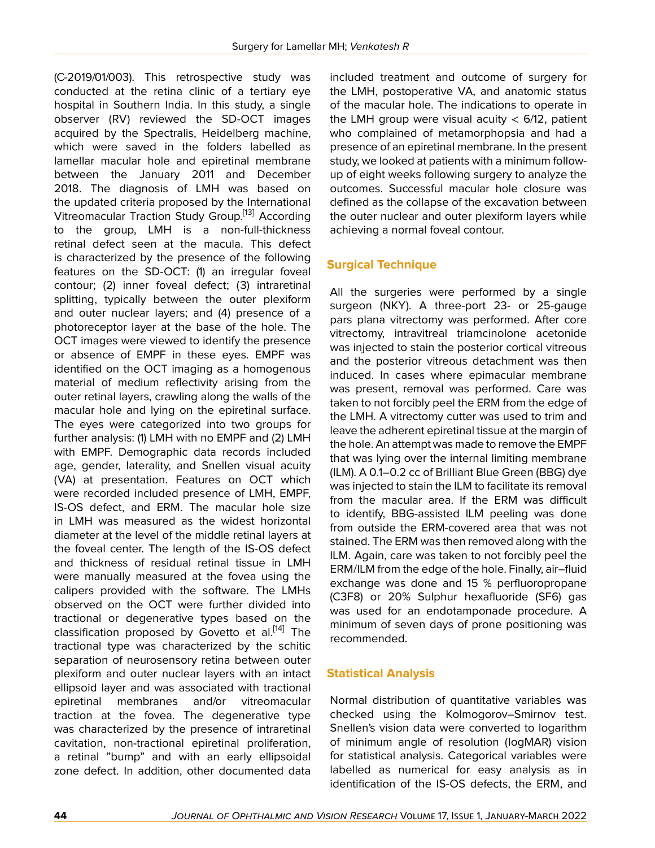(C-2019/01/003). This retrospective study was conducted at the retina clinic of a tertiary eye hospital in Southern India. In this study, a single observer (RV) reviewed the SD-OCT images acquired by the Spectralis, Heidelberg machine, which were saved in the folders labelled as lamellar macular hole and epiretinal membrane between the January 2011 and December 2018. The diagnosis of LMH was based on the updated criteria proposed by the International Vitreomacular Traction Study Group.[\[13\]](#page-8-10) According to the group, LMH is a non-full-thickness retinal defect seen at the macula. This defect is characterized by the presence of the following features on the SD-OCT: (1) an irregular foveal contour; (2) inner foveal defect; (3) intraretinal splitting, typically between the outer plexiform and outer nuclear layers; and (4) presence of a photoreceptor layer at the base of the hole. The OCT images were viewed to identify the presence or absence of EMPF in these eyes. EMPF was identified on the OCT imaging as a homogenous material of medium reflectivity arising from the outer retinal layers, crawling along the walls of the macular hole and lying on the epiretinal surface. The eyes were categorized into two groups for further analysis: (1) LMH with no EMPF and (2) LMH with EMPF. Demographic data records included age, gender, laterality, and Snellen visual acuity (VA) at presentation. Features on OCT which were recorded included presence of LMH, EMPF, IS-OS defect, and ERM. The macular hole size in LMH was measured as the widest horizontal diameter at the level of the middle retinal layers at the foveal center. The length of the IS-OS defect and thickness of residual retinal tissue in LMH were manually measured at the fovea using the calipers provided with the software. The LMHs observed on the OCT were further divided into tractional or degenerative types based on the classification proposed by Govetto et al.<sup>[\[14](#page-8-11)]</sup> The tractional type was characterized by the schitic separation of neurosensory retina between outer plexiform and outer nuclear layers with an intact ellipsoid layer and was associated with tractional epiretinal membranes and/or vitreomacular traction at the fovea. The degenerative type was characterized by the presence of intraretinal cavitation, non-tractional epiretinal proliferation, a retinal "bump" and with an early ellipsoidal zone defect. In addition, other documented data

included treatment and outcome of surgery for the LMH, postoperative VA, and anatomic status of the macular hole. The indications to operate in the LMH group were visual acuity  $<$  6/12, patient who complained of metamorphopsia and had a presence of an epiretinal membrane. In the present study, we looked at patients with a minimum followup of eight weeks following surgery to analyze the outcomes. Successful macular hole closure was defined as the collapse of the excavation between the outer nuclear and outer plexiform layers while achieving a normal foveal contour.

# **Surgical Technique**

All the surgeries were performed by a single surgeon (NKY). A three-port 23- or 25-gauge pars plana vitrectomy was performed. After core vitrectomy, intravitreal triamcinolone acetonide was injected to stain the posterior cortical vitreous and the posterior vitreous detachment was then induced. In cases where epimacular membrane was present, removal was performed. Care was taken to not forcibly peel the ERM from the edge of the LMH. A vitrectomy cutter was used to trim and leave the adherent epiretinal tissue at the margin of the hole. An attempt was made to remove the EMPF that was lying over the internal limiting membrane (ILM). A 0.1–0.2 cc of Brilliant Blue Green (BBG) dye was injected to stain the ILM to facilitate its removal from the macular area. If the ERM was difficult to identify, BBG-assisted ILM peeling was done from outside the ERM-covered area that was not stained. The ERM was then removed along with the ILM. Again, care was taken to not forcibly peel the ERM/ILM from the edge of the hole. Finally, air–fluid exchange was done and 15 % perfluoropropane (C3F8) or 20% Sulphur hexafluoride (SF6) gas was used for an endotamponade procedure. A minimum of seven days of prone positioning was recommended.

# **Statistical Analysis**

Normal distribution of quantitative variables was checked using the Kolmogorov–Smirnov test. Snellen's vision data were converted to logarithm of minimum angle of resolution (logMAR) vision for statistical analysis. Categorical variables were labelled as numerical for easy analysis as in identification of the IS-OS defects, the ERM, and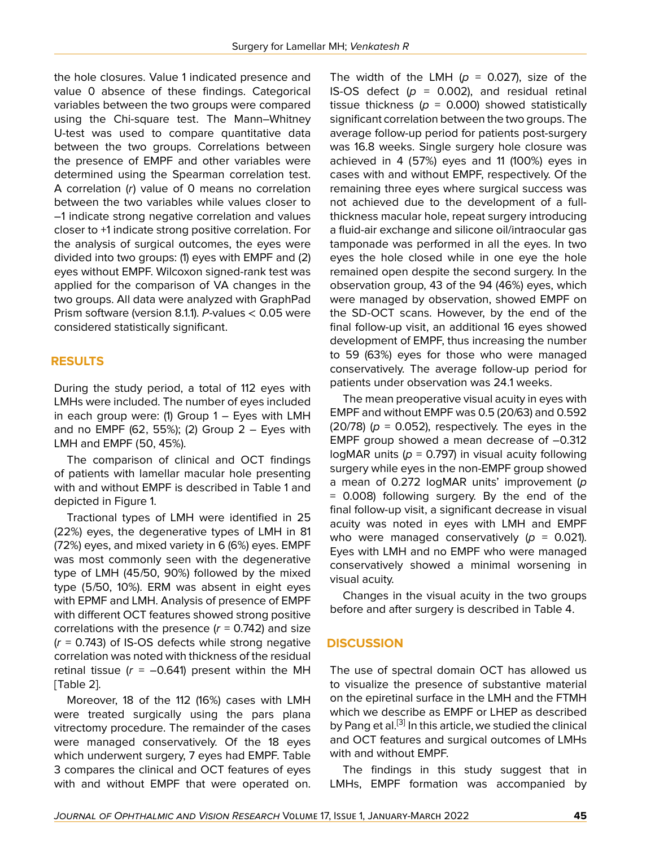the hole closures. Value 1 indicated presence and value 0 absence of these findings. Categorical variables between the two groups were compared using the Chi-square test. The Mann–Whitney U-test was used to compare quantitative data between the two groups. Correlations between the presence of EMPF and other variables were determined using the Spearman correlation test. A correlation (*r*) value of 0 means no correlation between the two variables while values closer to –1 indicate strong negative correlation and values closer to +1 indicate strong positive correlation. For the analysis of surgical outcomes, the eyes were divided into two groups: (1) eyes with EMPF and (2) eyes without EMPF. Wilcoxon signed-rank test was applied for the comparison of VA changes in the two groups. All data were analyzed with GraphPad Prism software (version 8.1.1). *P*-values < 0.05 were considered statistically significant.

# **RESULTS**

During the study period, a total of 112 eyes with LMHs were included. The number of eyes included in each group were:  $(1)$  Group  $1 -$  Eyes with LMH and no EMPF (62, 55%); (2) Group  $2 -$  Eyes with LMH and EMPF (50, 45%).

The comparison of clinical and OCT findings of patients with lamellar macular hole presenting with and without EMPF is described in Table 1 and depicted in Figure 1.

Tractional types of LMH were identified in 25 (22%) eyes, the degenerative types of LMH in 81 (72%) eyes, and mixed variety in 6 (6%) eyes. EMPF was most commonly seen with the degenerative type of LMH (45/50, 90%) followed by the mixed type (5/50, 10%). ERM was absent in eight eyes with EPMF and LMH. Analysis of presence of EMPF with different OCT features showed strong positive correlations with the presence  $(r = 0.742)$  and size (*r* = 0.743) of IS-OS defects while strong negative correlation was noted with thickness of the residual retinal tissue  $(r = -0.641)$  present within the MH [Table 2].

Moreover, 18 of the 112 (16%) cases with LMH were treated surgically using the pars plana vitrectomy procedure. The remainder of the cases were managed conservatively. Of the 18 eyes which underwent surgery, 7 eyes had EMPF. Table 3 compares the clinical and OCT features of eyes with and without EMPF that were operated on.

The width of the LMH  $(p = 0.027)$ , size of the IS-OS defect  $(p = 0.002)$ , and residual retinal tissue thickness ( $p = 0.000$ ) showed statistically significant correlation between the two groups. The average follow-up period for patients post-surgery was 16.8 weeks. Single surgery hole closure was achieved in 4 (57%) eyes and 11 (100%) eyes in cases with and without EMPF, respectively. Of the remaining three eyes where surgical success was not achieved due to the development of a fullthickness macular hole, repeat surgery introducing a fluid-air exchange and silicone oil/intraocular gas tamponade was performed in all the eyes. In two eyes the hole closed while in one eye the hole remained open despite the second surgery. In the observation group, 43 of the 94 (46%) eyes, which were managed by observation, showed EMPF on the SD-OCT scans. However, by the end of the final follow-up visit, an additional 16 eyes showed development of EMPF, thus increasing the number to 59 (63%) eyes for those who were managed conservatively. The average follow-up period for patients under observation was 24.1 weeks.

The mean preoperative visual acuity in eyes with EMPF and without EMPF was 0.5 (20/63) and 0.592 (20/78) ( $p = 0.052$ ), respectively. The eyes in the EMPF group showed a mean decrease of –0.312 logMAR units ( $p = 0.797$ ) in visual acuity following surgery while eyes in the non-EMPF group showed a mean of 0.272 logMAR units' improvement (*p* = 0.008) following surgery. By the end of the final follow-up visit, a significant decrease in visual acuity was noted in eyes with LMH and EMPF who were managed conservatively  $(p = 0.021)$ . Eyes with LMH and no EMPF who were managed conservatively showed a minimal worsening in visual acuity.

Changes in the visual acuity in the two groups before and after surgery is described in Table 4.

# **DISCUSSION**

The use of spectral domain OCT has allowed us to visualize the presence of substantive material on the epiretinal surface in the LMH and the FTMH which we describe as EMPF or LHEP as described by Pang et al.<sup>[[3](#page-8-0)]</sup> In this article, we studied the clinical and OCT features and surgical outcomes of LMHs with and without EMPF.

The findings in this study suggest that in LMHs, EMPF formation was accompanied by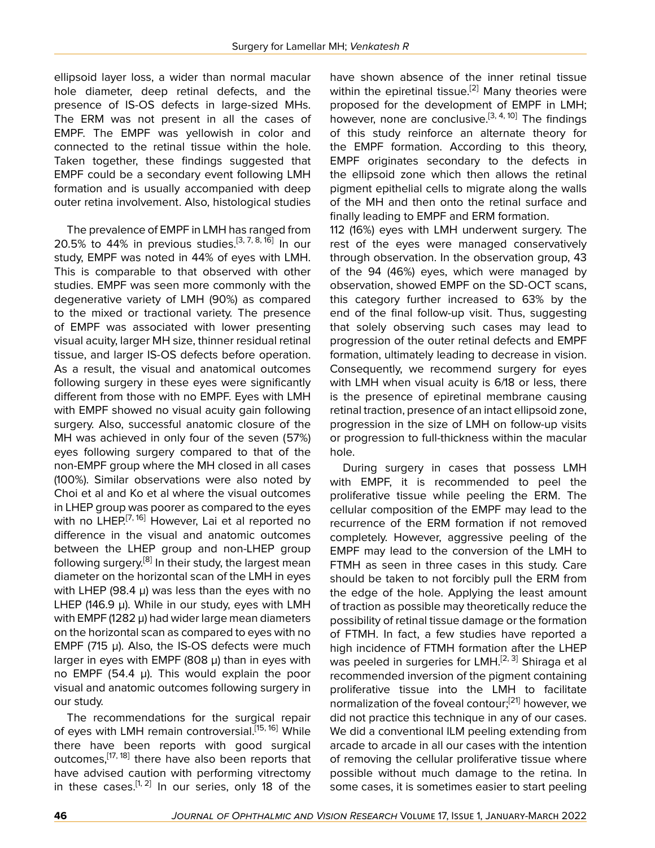ellipsoid layer loss, a wider than normal macular hole diameter, deep retinal defects, and the presence of IS-OS defects in large-sized MHs. The ERM was not present in all the cases of EMPF. The EMPF was yellowish in color and connected to the retinal tissue within the hole. Taken together, these findings suggested that EMPF could be a secondary event following LMH formation and is usually accompanied with deep outer retina involvement. Also, histological studies

The prevalence of EMPF in LMH has ranged from 20.5% to 44% in previous studies.<sup>[[3](#page-8-0), [7,](#page-8-5) [8](#page-8-12), [16\]](#page-8-13)</sup> In our study, EMPF was noted in 44% of eyes with LMH. This is comparable to that observed with other studies. EMPF was seen more commonly with the degenerative variety of LMH (90%) as compared to the mixed or tractional variety. The presence of EMPF was associated with lower presenting visual acuity, larger MH size, thinner residual retinal tissue, and larger IS-OS defects before operation. As a result, the visual and anatomical outcomes following surgery in these eyes were significantly different from those with no EMPF. Eyes with LMH with EMPF showed no visual acuity gain following surgery. Also, successful anatomic closure of the MH was achieved in only four of the seven (57%) eyes following surgery compared to that of the non-EMPF group where the MH closed in all cases (100%). Similar observations were also noted by Choi et al and Ko et al where the visual outcomes in LHEP group was poorer as compared to the eyes with no LHEP.<sup>[\[7](#page-8-5), [16](#page-8-13)]</sup> However, Lai et al reported no difference in the visual and anatomic outcomes between the LHEP group and non-LHEP group following surgery.<sup>[[8](#page-8-12)]</sup> In their study, the largest mean diameter on the horizontal scan of the LMH in eyes with LHEP (98.4 µ) was less than the eyes with no LHEP (146.9  $\mu$ ). While in our study, eyes with LMH with EMPF (1282 $\mu$ ) had wider large mean diameters on the horizontal scan as compared to eyes with no EMPF (715  $\mu$ ). Also, the IS-OS defects were much larger in eyes with EMPF (808  $\mu$ ) than in eyes with no EMPF (54.4  $\mu$ ). This would explain the poor visual and anatomic outcomes following surgery in our study.

The recommendations for the surgical repair of eyes with LMH remain controversial.<sup>[[15](#page-8-14), [16](#page-8-13)]</sup> While there have been reports with good surgical outcomes, <a>[[17](#page-8-15), [18](#page-8-16)]</a> there have also been reports that have advised caution with performing vitrectomy in these cases.<sup>[[1](#page-7-0), [2\]](#page-8-2)</sup> In our series, only 18 of the

have shown absence of the inner retinal tissue within the epiretinal tissue.<sup>[\[2\]](#page-8-2)</sup> Many theories were proposed for the development of EMPF in LMH; however, none are conclusive.  $[3, 4, 10]$  $[3, 4, 10]$  $[3, 4, 10]$  $[3, 4, 10]$  $[3, 4, 10]$  The findings of this study reinforce an alternate theory for the EMPF formation. According to this theory, EMPF originates secondary to the defects in the ellipsoid zone which then allows the retinal pigment epithelial cells to migrate along the walls of the MH and then onto the retinal surface and finally leading to EMPF and ERM formation.

112 (16%) eyes with LMH underwent surgery. The rest of the eyes were managed conservatively through observation. In the observation group, 43 of the 94 (46%) eyes, which were managed by observation, showed EMPF on the SD-OCT scans, this category further increased to 63% by the end of the final follow-up visit. Thus, suggesting that solely observing such cases may lead to progression of the outer retinal defects and EMPF formation, ultimately leading to decrease in vision. Consequently, we recommend surgery for eyes with LMH when visual acuity is 6/18 or less, there is the presence of epiretinal membrane causing retinal traction, presence of an intact ellipsoid zone, progression in the size of LMH on follow-up visits or progression to full-thickness within the macular hole.

During surgery in cases that possess LMH with EMPF, it is recommended to peel the proliferative tissue while peeling the ERM. The cellular composition of the EMPF may lead to the recurrence of the ERM formation if not removed completely. However, aggressive peeling of the EMPF may lead to the conversion of the LMH to FTMH as seen in three cases in this study. Care should be taken to not forcibly pull the ERM from the edge of the hole. Applying the least amount of traction as possible may theoretically reduce the possibility of retinal tissue damage or the formation of FTMH. In fact, a few studies have reported a high incidence of FTMH formation after the LHEP was peeled in surgeries for LMH.<sup>[[2](#page-8-2), [3](#page-8-0)]</sup> Shiraga et al recommended inversion of the pigment containing proliferative tissue into the LMH to facilitate normalization of the foveal contour;<sup>[\[21](#page-8-17)]</sup> however, we did not practice this technique in any of our cases. We did a conventional ILM peeling extending from arcade to arcade in all our cases with the intention of removing the cellular proliferative tissue where possible without much damage to the retina. In some cases, it is sometimes easier to start peeling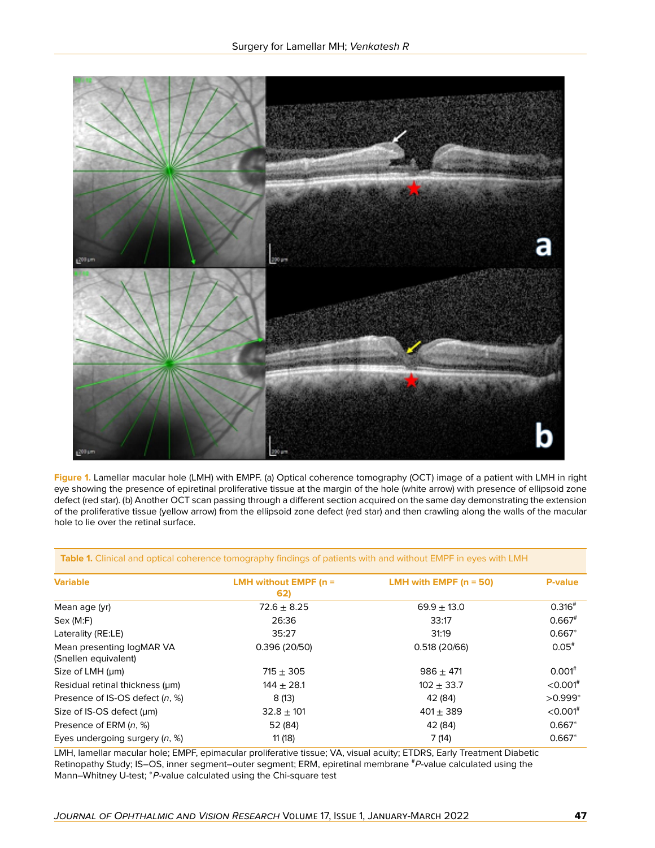

**Figure 1.** Lamellar macular hole (LMH) with EMPF. (a) Optical coherence tomography (OCT) image of a patient with LMH in right eye showing the presence of epiretinal proliferative tissue at the margin of the hole (white arrow) with presence of ellipsoid zone defect (red star). (b) Another OCT scan passing through a different section acquired on the same day demonstrating the extension of the proliferative tissue (yellow arrow) from the ellipsoid zone defect (red star) and then crawling along the walls of the macular hole to lie over the retinal surface.

**Table 1.** Clinical and optical coherence tomography findings of patients with and without EMPF in eyes with LMH

| <b>Variable</b>                                   | LMH without EMPF ( $n =$<br>62) | LMH with EMPF $(n = 50)$ | <b>P-value</b>         |
|---------------------------------------------------|---------------------------------|--------------------------|------------------------|
| Mean age (yr)                                     | $72.6 \pm 8.25$                 | $69.9 \pm 13.0$          | $0.316^{#}$            |
| Sex (M: F)                                        | 26:36                           | 33:17                    | $0.667$ <sup>#</sup>   |
| Laterality (RE:LE)                                | 35:27                           | 31:19                    | $0.667*$               |
| Mean presenting logMAR VA<br>(Snellen equivalent) | 0.396(20/50)                    | 0.518(20/66)             | $0.05$ <sup>#</sup>    |
| Size of LMH (um)                                  | $715 + 305$                     | $986 + 471$              | $0.001$ <sup>#</sup>   |
| Residual retinal thickness (um)                   | $144 + 28.1$                    | $102 + 33.7$             | $<$ 0.001 $#$          |
| Presence of IS-OS defect (n, %)                   | 8(13)                           | 42 (84)                  | $>0.999*$              |
| Size of IS-OS defect (um)                         | $32.8 \pm 101$                  | $401 \pm 389$            | $<$ 0.001 <sup>#</sup> |
| Presence of ERM (n, %)                            | 52 (84)                         | 42 (84)                  | $0.667*$               |
| Eyes undergoing surgery $(n, %)$                  | 11(18)                          | 7(14)                    | $0.667*$               |

LMH, lamellar macular hole; EMPF, epimacular proliferative tissue; VA, visual acuity; ETDRS, Early Treatment Diabetic Retinopathy Study; IS–OS, inner segment–outer segment; ERM, epiretinal membrane #P-value calculated using the Mann–Whitney U-test; <sup>\*</sup>P-value calculated using the Chi-square test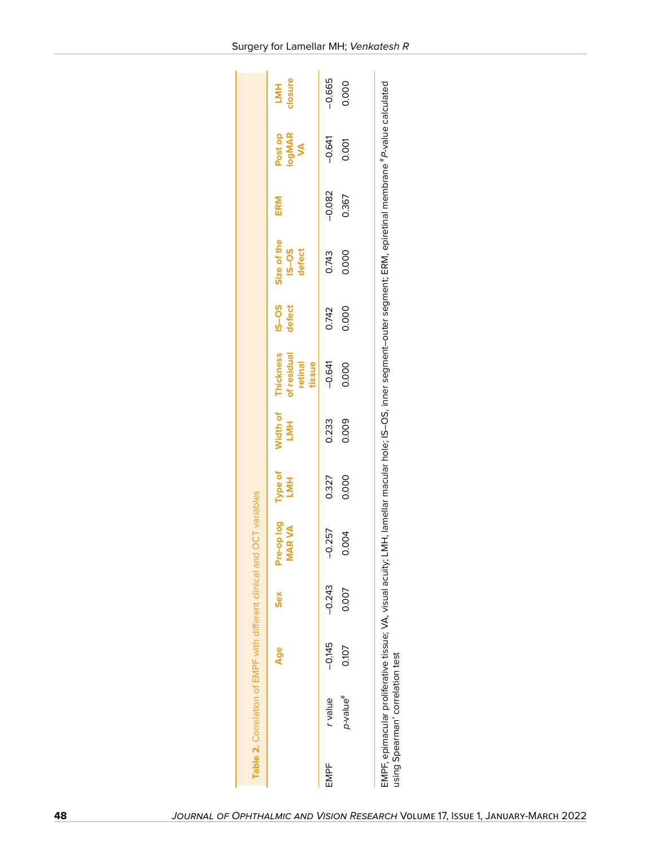|      |                                  |          |            | Table 2. Correlation of EMPF with different clinical and OCT variables |                |                         |                                                      |                    |                                                                                                                                                                        |          |                         |                       |
|------|----------------------------------|----------|------------|------------------------------------------------------------------------|----------------|-------------------------|------------------------------------------------------|--------------------|------------------------------------------------------------------------------------------------------------------------------------------------------------------------|----------|-------------------------|-----------------------|
|      |                                  | Age      | <b>Sex</b> | Pre-op log<br><b>MARVA</b>                                             | Type of<br>LMH | Width of<br><b>LIMH</b> | <b>Thickness</b><br>of residual<br>retinal<br>tissue | $S - 2S$<br>defect | Size of the<br><b>SO-SI</b><br>defect                                                                                                                                  | ERM      | Post op<br>logMAR<br>VA | :losure<br><b>TMH</b> |
| EMPF | r value                          | $-0.145$ | $-0.243$   | 0.257<br>I                                                             | 0.327          | 0.233                   | $-0.641$                                             | 0.742              | 0.743                                                                                                                                                                  | $-0.082$ | $-0.641$                | $-0.665$              |
|      | p-value <sup>#</sup>             | 0.107    | 0.007      | 0.004                                                                  | 0.000          | 0.009                   | 0.000                                                | 0.000              | 0.000                                                                                                                                                                  | 0.367    | 0.001                   | 0.000                 |
|      | using Spearman' correlation test |          |            |                                                                        |                |                         |                                                      |                    | EMPF, epimacular proliferative tissue; VA, visual acuity, LMH, lamellar macular hole; IS-OS, inner segment-outer segment; ERM, epiretinal membrane "P-value calculated |          |                         |                       |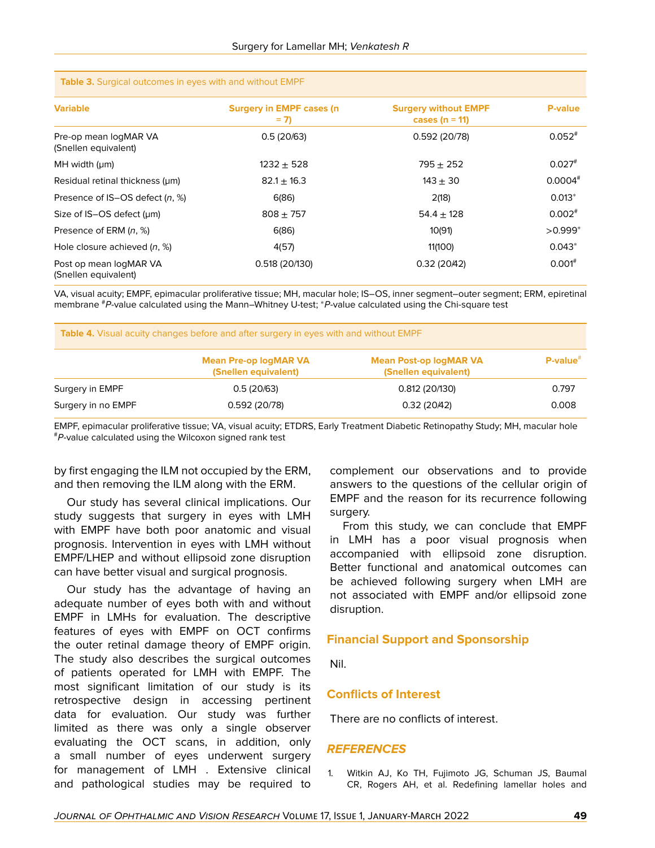| <b>Variable</b>                                | <b>Surgery in EMPF cases (n)</b><br>$= 7$ | <b>Surgery without EMPF</b><br>cases ( $n = 11$ ) | <b>P-value</b>        |
|------------------------------------------------|-------------------------------------------|---------------------------------------------------|-----------------------|
| Pre-op mean logMAR VA<br>(Snellen equivalent)  | 0.5(20/63)                                | 0.592 (20/78)                                     | $0.052*$              |
| $MH$ width ( $µm$ )                            | $1232 + 528$                              | $795 + 252$                                       | $0.027$ <sup>#</sup>  |
| Residual retinal thickness (um)                | $82.1 \pm 16.3$                           | $143 + 30$                                        | $0.0004$ <sup>#</sup> |
| Presence of IS-OS defect (n, %)                | 6(86)                                     | 2(18)                                             | $0.013*$              |
| Size of IS-OS defect (um)                      | $808 + 757$                               | $54.4 \pm 128$                                    | $0.002$ <sup>#</sup>  |
| Presence of ERM (n, %)                         | 6(86)                                     | 10(91)                                            | $>0.999*$             |
| Hole closure achieved $(n, %)$                 | 4(57)                                     | 11(100)                                           | $0.043*$              |
| Post op mean logMAR VA<br>(Snellen equivalent) | 0.518 (20/130)                            | 0.32(20/42)                                       | $0.001^{#}$           |

#### **Table 3.** Surgical outcomes in eyes with and without EMPF

VA, visual acuity; EMPF, epimacular proliferative tissue; MH, macular hole; IS–OS, inner segment–outer segment; ERM, epiretinal membrane <sup>#</sup>P-value calculated using the Mann–Whitney U-test; <sup>\*</sup>P-value calculated using the Chi-square test

| <b>Table 4.</b> Visual acuity changes before and after surgery in eyes with and without EMPF |                                                      |                                                       |                |  |
|----------------------------------------------------------------------------------------------|------------------------------------------------------|-------------------------------------------------------|----------------|--|
|                                                                                              | <b>Mean Pre-op logMAR VA</b><br>(Snellen equivalent) | <b>Mean Post-op logMAR VA</b><br>(Snellen equivalent) | $P-value^{\#}$ |  |
| Surgery in EMPF                                                                              | 0.5(20/63)                                           | 0.812(20/130)                                         | 0.797          |  |
| Surgery in no EMPF                                                                           | 0.592(20/78)                                         | 0.32(20/42)                                           | 0.008          |  |

EMPF, epimacular proliferative tissue; VA, visual acuity; ETDRS, Early Treatment Diabetic Retinopathy Study; MH, macular hole #*P*-value calculated using the Wilcoxon signed rank test

by first engaging the ILM not occupied by the ERM, and then removing the ILM along with the ERM.

Our study has several clinical implications. Our study suggests that surgery in eyes with LMH with EMPF have both poor anatomic and visual prognosis. Intervention in eyes with LMH without EMPF/LHEP and without ellipsoid zone disruption can have better visual and surgical prognosis.

Our study has the advantage of having an adequate number of eyes both with and without EMPF in LMHs for evaluation. The descriptive features of eyes with EMPF on OCT confirms the outer retinal damage theory of EMPF origin. The study also describes the surgical outcomes of patients operated for LMH with EMPF. The most significant limitation of our study is its retrospective design in accessing pertinent data for evaluation. Our study was further limited as there was only a single observer evaluating the OCT scans, in addition, only a small number of eyes underwent surgery for management of LMH . Extensive clinical and pathological studies may be required to

complement our observations and to provide answers to the questions of the cellular origin of EMPF and the reason for its recurrence following surgery.

From this study, we can conclude that EMPF in LMH has a poor visual prognosis when accompanied with ellipsoid zone disruption. Better functional and anatomical outcomes can be achieved following surgery when LMH are not associated with EMPF and/or ellipsoid zone disruption.

### **Financial Support and Sponsorship**

Nil.

### **Conflicts of Interest**

There are no conflicts of interest.

### *REFERENCES*

<span id="page-7-0"></span>1. Witkin AJ, Ko TH, Fujimoto JG, Schuman JS, Baumal CR, Rogers AH, et al. Redefining lamellar holes and